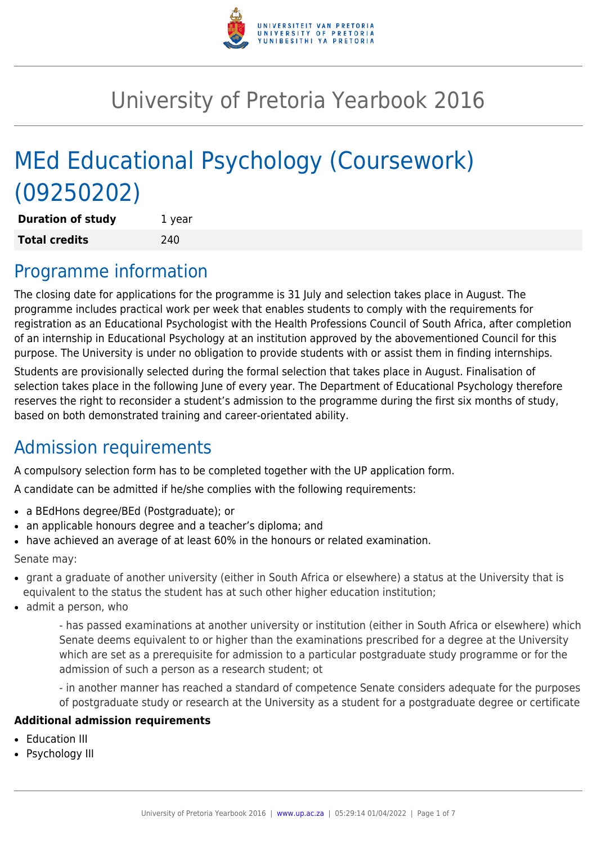

# University of Pretoria Yearbook 2016

# MEd Educational Psychology (Coursework) (09250202)

| <b>Duration of study</b> | 1 year |
|--------------------------|--------|
| <b>Total credits</b>     | 240    |

## Programme information

The closing date for applications for the programme is 31 July and selection takes place in August. The programme includes practical work per week that enables students to comply with the requirements for registration as an Educational Psychologist with the Health Professions Council of South Africa, after completion of an internship in Educational Psychology at an institution approved by the abovementioned Council for this purpose. The University is under no obligation to provide students with or assist them in finding internships.

Students are provisionally selected during the formal selection that takes place in August. Finalisation of selection takes place in the following June of every year. The Department of Educational Psychology therefore reserves the right to reconsider a student's admission to the programme during the first six months of study, based on both demonstrated training and career-orientated ability.

## Admission requirements

A compulsory selection form has to be completed together with the UP application form.

A candidate can be admitted if he/she complies with the following requirements:

- a BEdHons degree/BEd (Postgraduate); or
- an applicable honours degree and a teacher's diploma; and
- have achieved an average of at least 60% in the honours or related examination.

Senate may:

- grant a graduate of another university (either in South Africa or elsewhere) a status at the University that is equivalent to the status the student has at such other higher education institution;
- $\bullet$  admit a person, who

- has passed examinations at another university or institution (either in South Africa or elsewhere) which Senate deems equivalent to or higher than the examinations prescribed for a degree at the University which are set as a prerequisite for admission to a particular postgraduate study programme or for the admission of such a person as a research student; ot

- in another manner has reached a standard of competence Senate considers adequate for the purposes of postgraduate study or research at the University as a student for a postgraduate degree or certificate

#### **Additional admission requirements**

- Education III
- Psychology III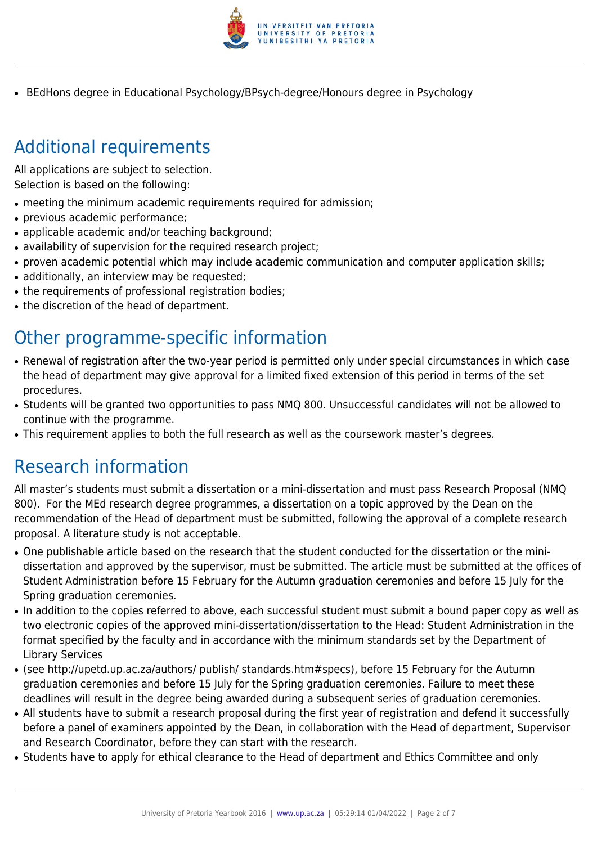

• BEdHons degree in Educational Psychology/BPsych-degree/Honours degree in Psychology

# Additional requirements

All applications are subject to selection. Selection is based on the following:

- meeting the minimum academic requirements required for admission;
- previous academic performance;
- applicable academic and/or teaching background;
- availability of supervision for the required research project;
- proven academic potential which may include academic communication and computer application skills;
- additionally, an interview may be requested;
- the requirements of professional registration bodies;
- the discretion of the head of department.

## Other programme-specific information

- Renewal of registration after the two-year period is permitted only under special circumstances in which case the head of department may give approval for a limited fixed extension of this period in terms of the set procedures.
- Students will be granted two opportunities to pass NMQ 800. Unsuccessful candidates will not be allowed to continue with the programme.
- This requirement applies to both the full research as well as the coursework master's degrees.

## Research information

All master's students must submit a dissertation or a mini-dissertation and must pass Research Proposal (NMQ 800). For the MEd research degree programmes, a dissertation on a topic approved by the Dean on the recommendation of the Head of department must be submitted, following the approval of a complete research proposal. A literature study is not acceptable.

- One publishable article based on the research that the student conducted for the dissertation or the minidissertation and approved by the supervisor, must be submitted. The article must be submitted at the offices of Student Administration before 15 February for the Autumn graduation ceremonies and before 15 July for the Spring graduation ceremonies.
- In addition to the copies referred to above, each successful student must submit a bound paper copy as well as two electronic copies of the approved mini-dissertation/dissertation to the Head: Student Administration in the format specified by the faculty and in accordance with the minimum standards set by the Department of Library Services
- (see http://upetd.up.ac.za/authors/ publish/ standards.htm#specs), before 15 February for the Autumn graduation ceremonies and before 15 July for the Spring graduation ceremonies. Failure to meet these deadlines will result in the degree being awarded during a subsequent series of graduation ceremonies.
- All students have to submit a research proposal during the first year of registration and defend it successfully before a panel of examiners appointed by the Dean, in collaboration with the Head of department, Supervisor and Research Coordinator, before they can start with the research.
- Students have to apply for ethical clearance to the Head of department and Ethics Committee and only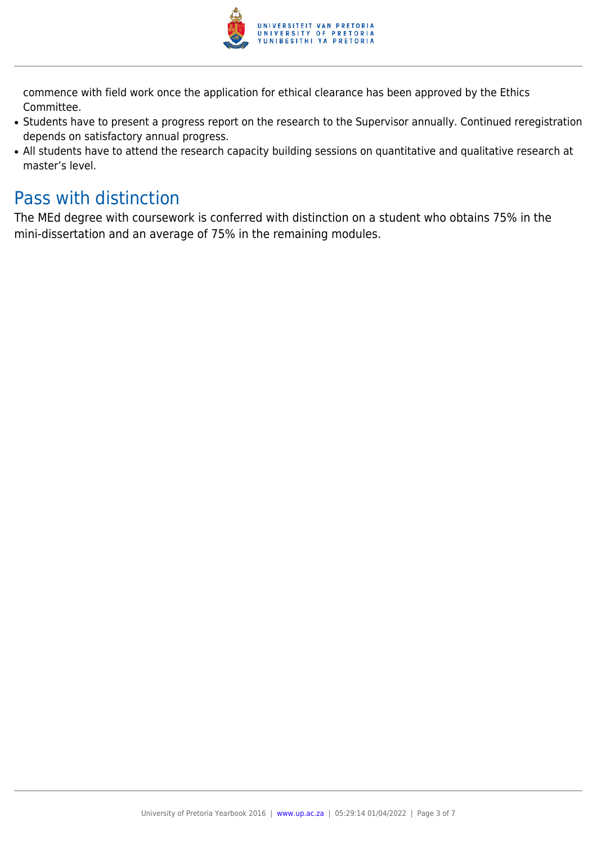

commence with field work once the application for ethical clearance has been approved by the Ethics Committee.

- Students have to present a progress report on the research to the Supervisor annually. Continued reregistration depends on satisfactory annual progress.
- All students have to attend the research capacity building sessions on quantitative and qualitative research at master's level.

### Pass with distinction

The MEd degree with coursework is conferred with distinction on a student who obtains 75% in the mini-dissertation and an average of 75% in the remaining modules.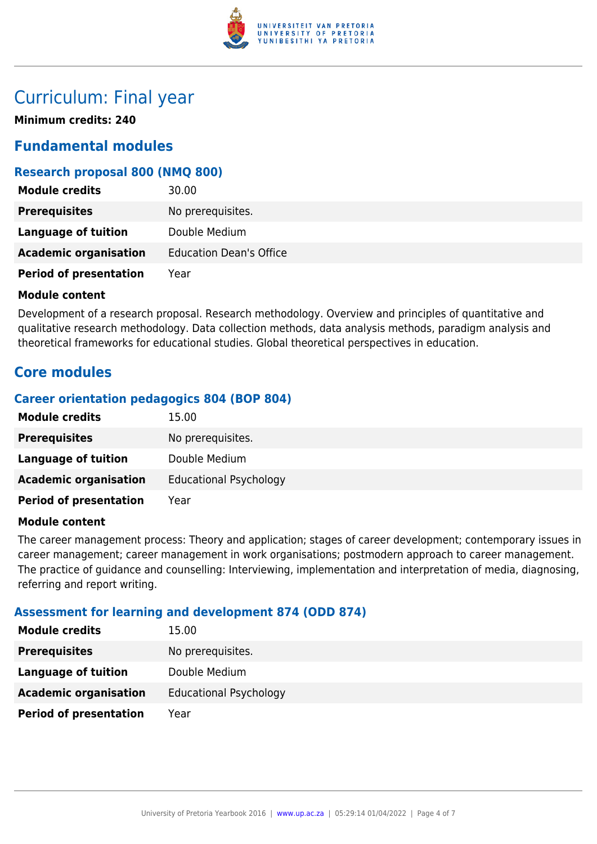

### Curriculum: Final year

**Minimum credits: 240**

### **Fundamental modules**

#### **Research proposal 800 (NMQ 800)**

| <b>Module credits</b>         | 30.00                          |
|-------------------------------|--------------------------------|
| <b>Prerequisites</b>          | No prerequisites.              |
| Language of tuition           | Double Medium                  |
| <b>Academic organisation</b>  | <b>Education Dean's Office</b> |
| <b>Period of presentation</b> | Year                           |

#### **Module content**

Development of a research proposal. Research methodology. Overview and principles of quantitative and qualitative research methodology. Data collection methods, data analysis methods, paradigm analysis and theoretical frameworks for educational studies. Global theoretical perspectives in education.

### **Core modules**

#### **Career orientation pedagogics 804 (BOP 804)**

| <b>Module credits</b>         | 15.00                         |
|-------------------------------|-------------------------------|
| <b>Prerequisites</b>          | No prerequisites.             |
| Language of tuition           | Double Medium                 |
| <b>Academic organisation</b>  | <b>Educational Psychology</b> |
| <b>Period of presentation</b> | Year                          |

#### **Module content**

The career management process: Theory and application; stages of career development; contemporary issues in career management; career management in work organisations; postmodern approach to career management. The practice of guidance and counselling: Interviewing, implementation and interpretation of media, diagnosing, referring and report writing.

#### **Assessment for learning and development 874 (ODD 874)**

| 15.00                         |
|-------------------------------|
| No prerequisites.             |
| Double Medium                 |
| <b>Educational Psychology</b> |
| Year                          |
|                               |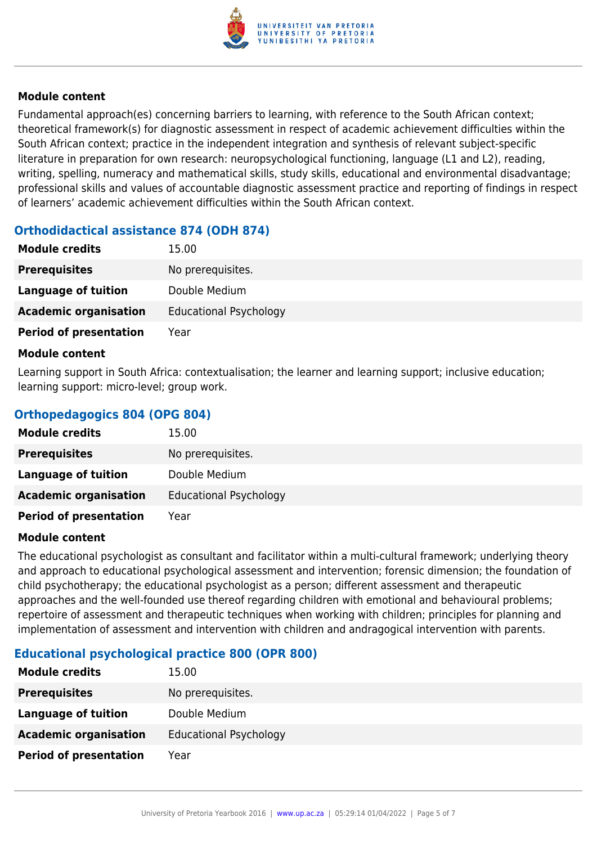

#### **Module content**

Fundamental approach(es) concerning barriers to learning, with reference to the South African context; theoretical framework(s) for diagnostic assessment in respect of academic achievement difficulties within the South African context; practice in the independent integration and synthesis of relevant subject-specific literature in preparation for own research: neuropsychological functioning, language (L1 and L2), reading, writing, spelling, numeracy and mathematical skills, study skills, educational and environmental disadvantage; professional skills and values of accountable diagnostic assessment practice and reporting of findings in respect of learners' academic achievement difficulties within the South African context.

#### **Orthodidactical assistance 874 (ODH 874)**

| <b>Module credits</b>         | 15.00                         |
|-------------------------------|-------------------------------|
| <b>Prerequisites</b>          | No prerequisites.             |
| Language of tuition           | Double Medium                 |
| <b>Academic organisation</b>  | <b>Educational Psychology</b> |
| <b>Period of presentation</b> | Year                          |

#### **Module content**

Learning support in South Africa: contextualisation; the learner and learning support; inclusive education; learning support: micro-level; group work.

#### **Orthopedagogics 804 (OPG 804)**

| <b>Module credits</b>         | 15.00                         |
|-------------------------------|-------------------------------|
| <b>Prerequisites</b>          | No prerequisites.             |
| Language of tuition           | Double Medium                 |
| <b>Academic organisation</b>  | <b>Educational Psychology</b> |
| <b>Period of presentation</b> | Year                          |

#### **Module content**

The educational psychologist as consultant and facilitator within a multi-cultural framework; underlying theory and approach to educational psychological assessment and intervention; forensic dimension; the foundation of child psychotherapy; the educational psychologist as a person; different assessment and therapeutic approaches and the well-founded use thereof regarding children with emotional and behavioural problems; repertoire of assessment and therapeutic techniques when working with children; principles for planning and implementation of assessment and intervention with children and andragogical intervention with parents.

#### **Educational psychological practice 800 (OPR 800)**

| <b>Module credits</b>         | 15.00                         |
|-------------------------------|-------------------------------|
| <b>Prerequisites</b>          | No prerequisites.             |
| Language of tuition           | Double Medium                 |
| <b>Academic organisation</b>  | <b>Educational Psychology</b> |
| <b>Period of presentation</b> | Year                          |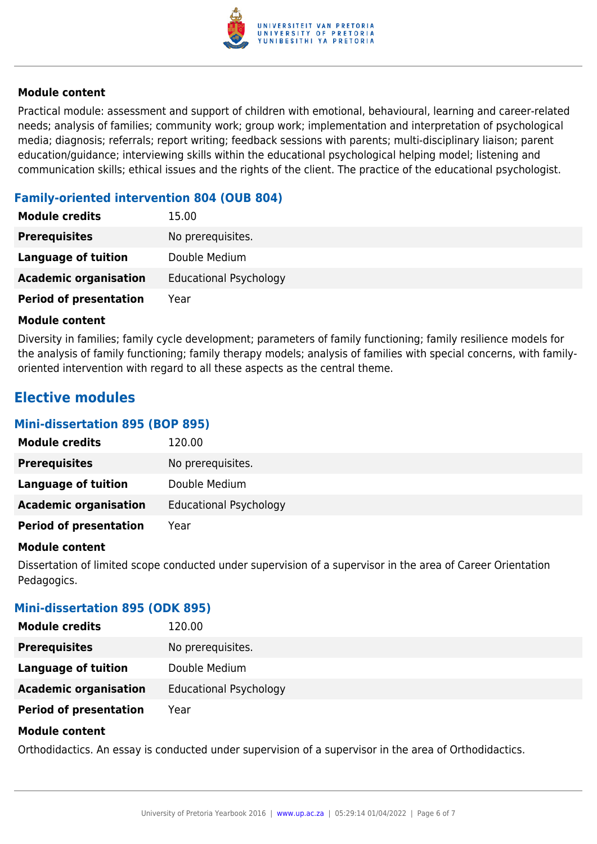

#### **Module content**

Practical module: assessment and support of children with emotional, behavioural, learning and career-related needs; analysis of families; community work; group work; implementation and interpretation of psychological media; diagnosis; referrals; report writing; feedback sessions with parents; multi-disciplinary liaison; parent education/guidance; interviewing skills within the educational psychological helping model; listening and communication skills; ethical issues and the rights of the client. The practice of the educational psychologist.

#### **Family-oriented intervention 804 (OUB 804)**

| <b>Module credits</b>         | 15.00                         |
|-------------------------------|-------------------------------|
| <b>Prerequisites</b>          | No prerequisites.             |
| <b>Language of tuition</b>    | Double Medium                 |
| <b>Academic organisation</b>  | <b>Educational Psychology</b> |
| <b>Period of presentation</b> | Year                          |

#### **Module content**

Diversity in families; family cycle development; parameters of family functioning; family resilience models for the analysis of family functioning; family therapy models; analysis of families with special concerns, with familyoriented intervention with regard to all these aspects as the central theme.

### **Elective modules**

#### **Mini-dissertation 895 (BOP 895)**

| <b>Module credits</b>         | 120.00                        |
|-------------------------------|-------------------------------|
| <b>Prerequisites</b>          | No prerequisites.             |
| Language of tuition           | Double Medium                 |
| <b>Academic organisation</b>  | <b>Educational Psychology</b> |
| <b>Period of presentation</b> | Year                          |

#### **Module content**

Dissertation of limited scope conducted under supervision of a supervisor in the area of Career Orientation Pedagogics.

#### **Mini-dissertation 895 (ODK 895)**

| <b>Module credits</b>         | 120.00                        |
|-------------------------------|-------------------------------|
| <b>Prerequisites</b>          | No prerequisites.             |
| <b>Language of tuition</b>    | Double Medium                 |
| <b>Academic organisation</b>  | <b>Educational Psychology</b> |
| <b>Period of presentation</b> | Year                          |
| <b>Madula assistant</b>       |                               |

#### **Module content**

Orthodidactics. An essay is conducted under supervision of a supervisor in the area of Orthodidactics.